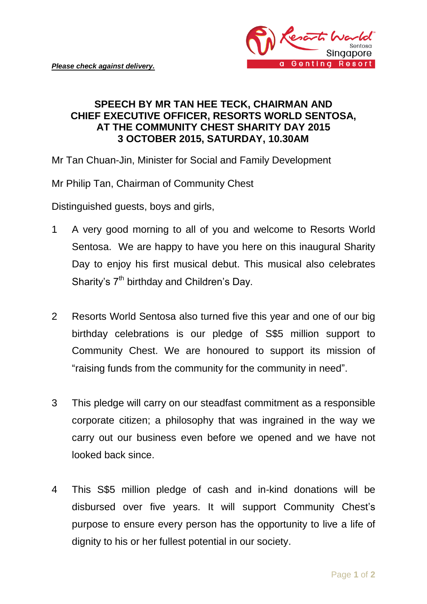

## **SPEECH BY MR TAN HEE TECK, CHAIRMAN AND CHIEF EXECUTIVE OFFICER, RESORTS WORLD SENTOSA, AT THE COMMUNITY CHEST SHARITY DAY 2015 3 OCTOBER 2015, SATURDAY, 10.30AM**

Mr Tan Chuan-Jin, Minister for Social and Family Development

Mr Philip Tan, Chairman of Community Chest

Distinguished guests, boys and girls,

- 1 A very good morning to all of you and welcome to Resorts World Sentosa. We are happy to have you here on this inaugural Sharity Day to enjoy his first musical debut. This musical also celebrates Sharity's 7<sup>th</sup> birthday and Children's Day.
- 2 Resorts World Sentosa also turned five this year and one of our big birthday celebrations is our pledge of S\$5 million support to Community Chest. We are honoured to support its mission of "raising funds from the community for the community in need".
- 3 This pledge will carry on our steadfast commitment as a responsible corporate citizen; a philosophy that was ingrained in the way we carry out our business even before we opened and we have not looked back since.
- 4 This S\$5 million pledge of cash and in-kind donations will be disbursed over five years. It will support Community Chest's purpose to ensure every person has the opportunity to live a life of dignity to his or her fullest potential in our society.